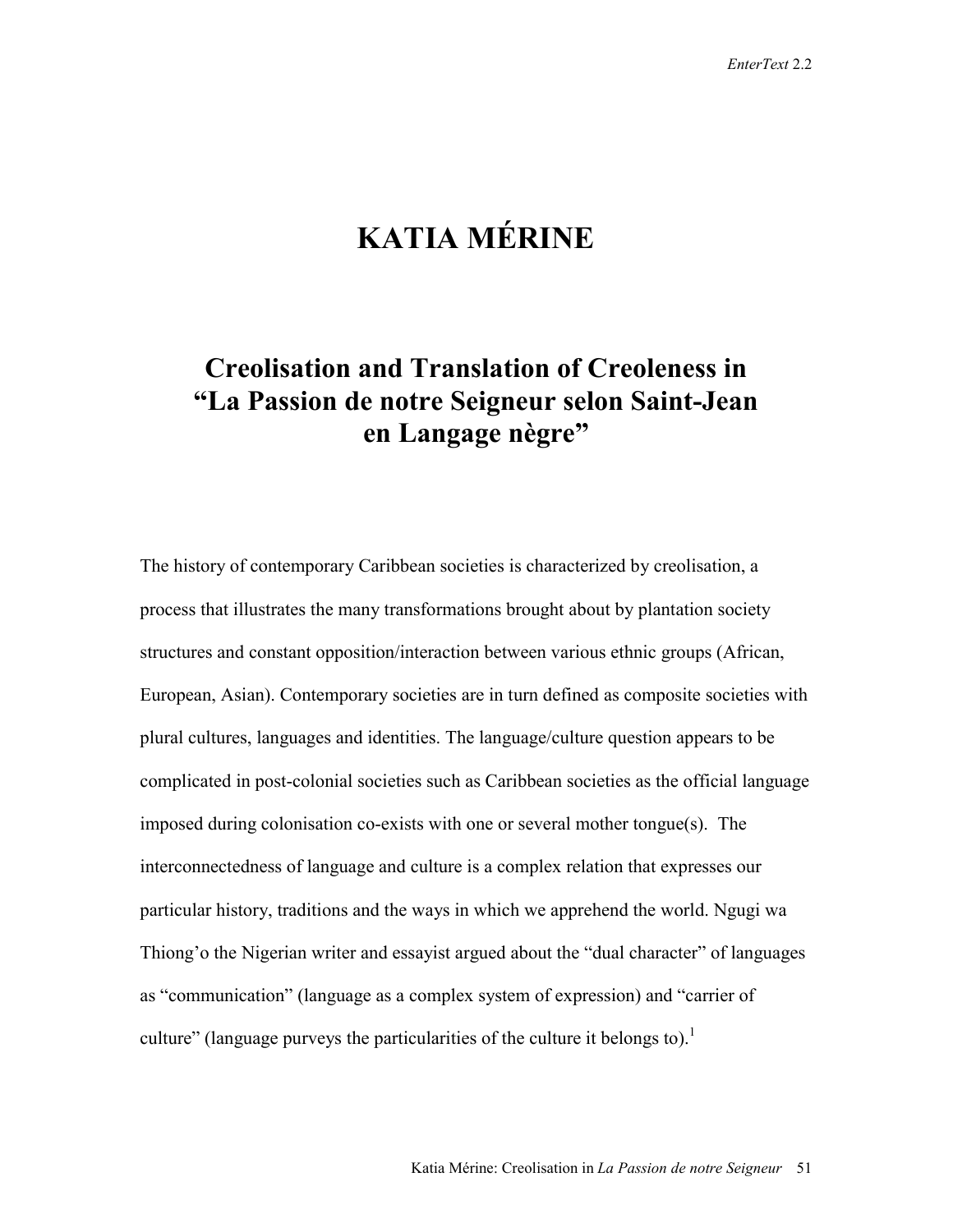# **KATIA MÉRINE**

## **Creolisation and Translation of Creoleness in "La Passion de notre Seigneur selon Saint-Jean en Langage nègre"**

The history of contemporary Caribbean societies is characterized by creolisation, a process that illustrates the many transformations brought about by plantation society structures and constant opposition/interaction between various ethnic groups (African, European, Asian). Contemporary societies are in turn defined as composite societies with plural cultures, languages and identities. The language/culture question appears to be complicated in post-colonial societies such as Caribbean societies as the official language imposed during colonisation co-exists with one or several mother tongue(s). The interconnectedness of language and culture is a complex relation that expresses our particular history, traditions and the ways in which we apprehend the world. Ngugi wa Thiong'o the Nigerian writer and essayist argued about the "dual character" of languages as "communication" (language as a complex system of expression) and "carrier of culture" (language purveys the particularities of the culture it belongs to).<sup>1</sup>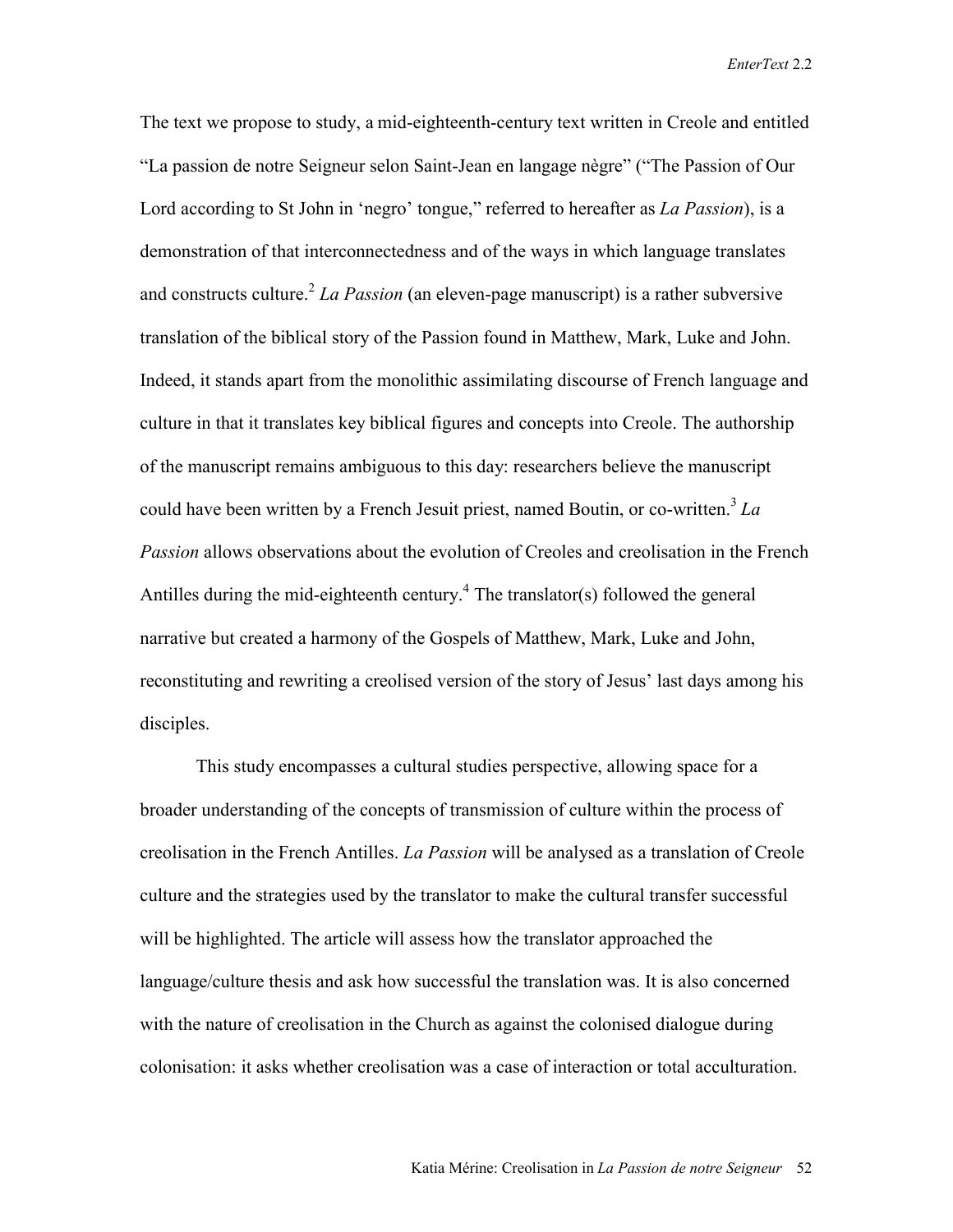The text we propose to study, a mid-eighteenth-century text written in Creole and entitled "La passion de notre Seigneur selon Saint-Jean en langage nègre" ("The Passion of Our Lord according to St John in 'negro' tongue," referred to hereafter as *La Passion*), is a demonstration of that interconnectedness and of the ways in which language translates and constructs culture.<sup>2</sup> *La Passion* (an eleven-page manuscript) is a rather subversive translation of the biblical story of the Passion found in Matthew, Mark, Luke and John. Indeed, it stands apart from the monolithic assimilating discourse of French language and culture in that it translates key biblical figures and concepts into Creole. The authorship of the manuscript remains ambiguous to this day: researchers believe the manuscript could have been written by a French Jesuit priest, named Boutin, or co-written.<sup>3</sup> La *Passion* allows observations about the evolution of Creoles and creolisation in the French Antilles during the mid-eighteenth century.<sup>4</sup> The translator(s) followed the general narrative but created a harmony of the Gospels of Matthew, Mark, Luke and John, reconstituting and rewriting a creolised version of the story of Jesus' last days among his disciples.

This study encompasses a cultural studies perspective, allowing space for a broader understanding of the concepts of transmission of culture within the process of creolisation in the French Antilles. *La Passion* will be analysed as a translation of Creole culture and the strategies used by the translator to make the cultural transfer successful will be highlighted. The article will assess how the translator approached the language/culture thesis and ask how successful the translation was. It is also concerned with the nature of creolisation in the Church as against the colonised dialogue during colonisation: it asks whether creolisation was a case of interaction or total acculturation.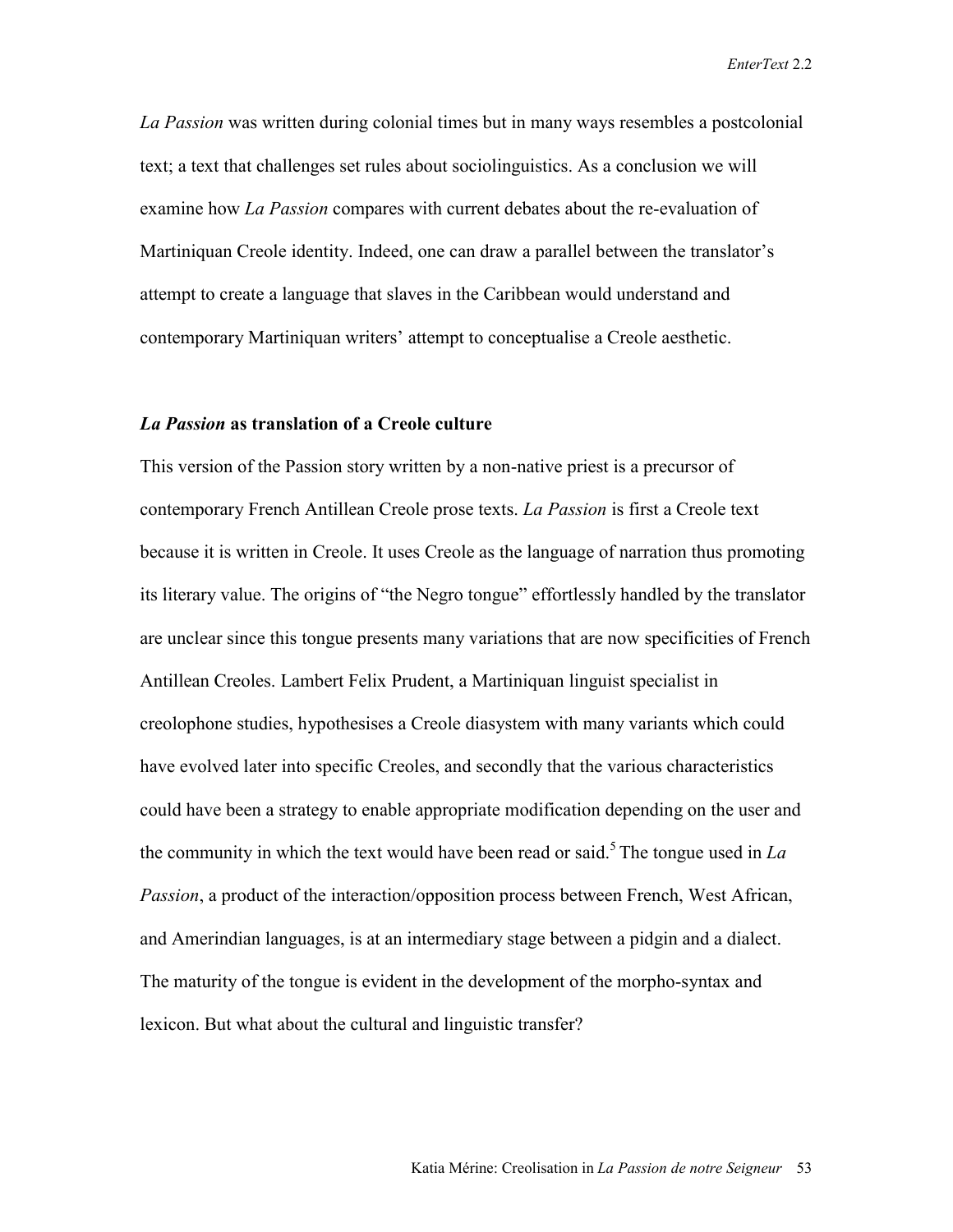*La Passion* was written during colonial times but in many ways resembles a postcolonial text; a text that challenges set rules about sociolinguistics. As a conclusion we will examine how *La Passion* compares with current debates about the re-evaluation of Martiniquan Creole identity. Indeed, one can draw a parallel between the translator's attempt to create a language that slaves in the Caribbean would understand and contemporary Martiniquan writers' attempt to conceptualise a Creole aesthetic.

### *La Passion* **as translation of a Creole culture**

This version of the Passion story written by a non-native priest is a precursor of contemporary French Antillean Creole prose texts. *La Passion* is first a Creole text because it is written in Creole. It uses Creole as the language of narration thus promoting its literary value. The origins of "the Negro tongue" effortlessly handled by the translator are unclear since this tongue presents many variations that are now specificities of French Antillean Creoles. Lambert Felix Prudent, a Martiniquan linguist specialist in creolophone studies, hypothesises a Creole diasystem with many variants which could have evolved later into specific Creoles, and secondly that the various characteristics could have been a strategy to enable appropriate modification depending on the user and the community in which the text would have been read or said.<sup>5</sup> The tongue used in  $La$ *Passion*, a product of the interaction/opposition process between French, West African, and Amerindian languages, is at an intermediary stage between a pidgin and a dialect. The maturity of the tongue is evident in the development of the morpho-syntax and lexicon. But what about the cultural and linguistic transfer?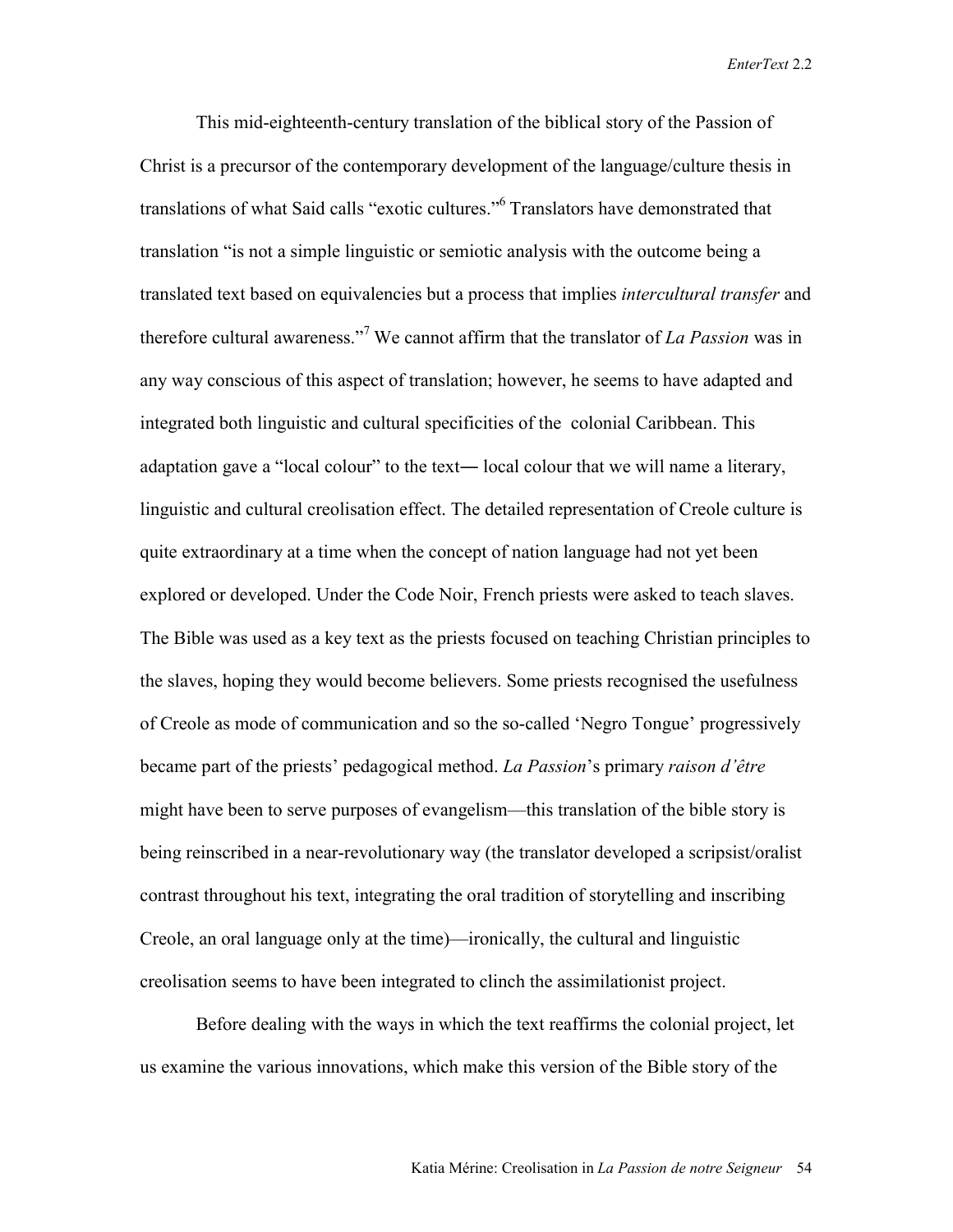This mid-eighteenth-century translation of the biblical story of the Passion of Christ is a precursor of the contemporary development of the language/culture thesis in translations of what Said calls "exotic cultures."<sup>6</sup> Translators have demonstrated that translation "is not a simple linguistic or semiotic analysis with the outcome being a translated text based on equivalencies but a process that implies *intercultural transfer* and therefore cultural awareness."<sup>7</sup> We cannot affirm that the translator of *La Passion* was in any way conscious of this aspect of translation; however, he seems to have adapted and integrated both linguistic and cultural specificities of the colonial Caribbean. This adaptation gave a "local colour" to the text― local colour that we will name a literary, linguistic and cultural creolisation effect. The detailed representation of Creole culture is quite extraordinary at a time when the concept of nation language had not yet been explored or developed. Under the Code Noir, French priests were asked to teach slaves. The Bible was used as a key text as the priests focused on teaching Christian principles to the slaves, hoping they would become believers. Some priests recognised the usefulness of Creole as mode of communication and so the so-called 'Negro Tongue' progressively became part of the priests' pedagogical method. *La Passion*'s primary *raison d'être* might have been to serve purposes of evangelism––this translation of the bible story is being reinscribed in a near-revolutionary way (the translator developed a scripsist/oralist contrast throughout his text, integrating the oral tradition of storytelling and inscribing Creole, an oral language only at the time)—ironically, the cultural and linguistic creolisation seems to have been integrated to clinch the assimilationist project.

Before dealing with the ways in which the text reaffirms the colonial project, let us examine the various innovations, which make this version of the Bible story of the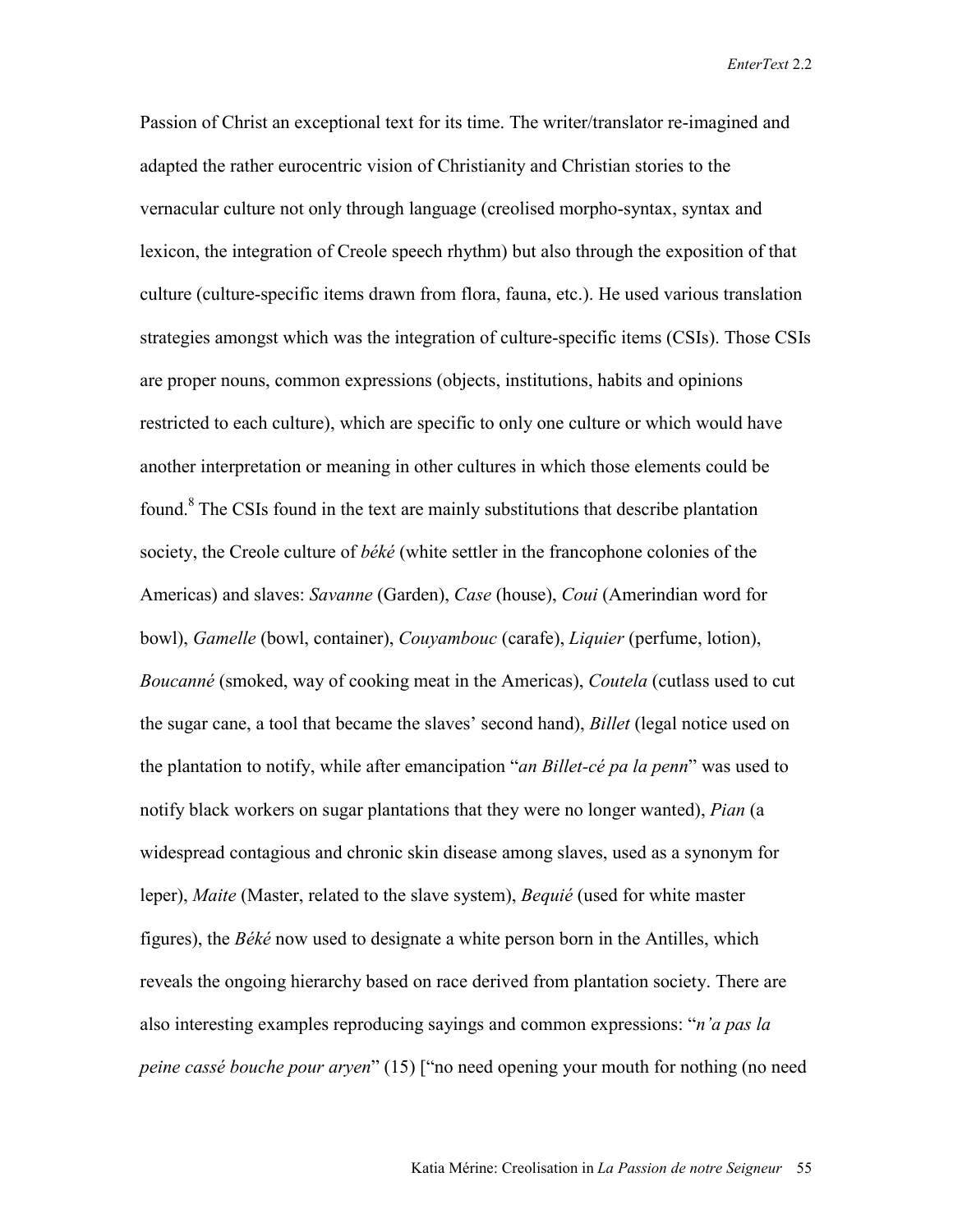Passion of Christ an exceptional text for its time. The writer/translator re-imagined and adapted the rather eurocentric vision of Christianity and Christian stories to the vernacular culture not only through language (creolised morpho-syntax, syntax and lexicon, the integration of Creole speech rhythm) but also through the exposition of that culture (culture-specific items drawn from flora, fauna, etc.). He used various translation strategies amongst which was the integration of culture-specific items (CSIs). Those CSIs are proper nouns, common expressions (objects, institutions, habits and opinions restricted to each culture), which are specific to only one culture or which would have another interpretation or meaning in other cultures in which those elements could be found. $8$ <sup>8</sup> The CSIs found in the text are mainly substitutions that describe plantation society, the Creole culture of *béké* (white settler in the francophone colonies of the Americas) and slaves: *Savanne* (Garden), *Case* (house), *Coui* (Amerindian word for bowl), *Gamelle* (bowl, container), *Couyambouc* (carafe), *Liquier* (perfume, lotion), *Boucanné* (smoked, way of cooking meat in the Americas), *Coutela* (cutlass used to cut the sugar cane, a tool that became the slaves' second hand), *Billet* (legal notice used on the plantation to notify, while after emancipation "*an Billet-cé pa la penn*" was used to notify black workers on sugar plantations that they were no longer wanted), *Pian* (a widespread contagious and chronic skin disease among slaves, used as a synonym for leper), *Maite* (Master, related to the slave system), *Bequié* (used for white master figures), the *Béké* now used to designate a white person born in the Antilles, which reveals the ongoing hierarchy based on race derived from plantation society. There are also interesting examples reproducing sayings and common expressions: "*n'a pas la peine cassé bouche pour aryen*" (15) ["no need opening your mouth for nothing (no need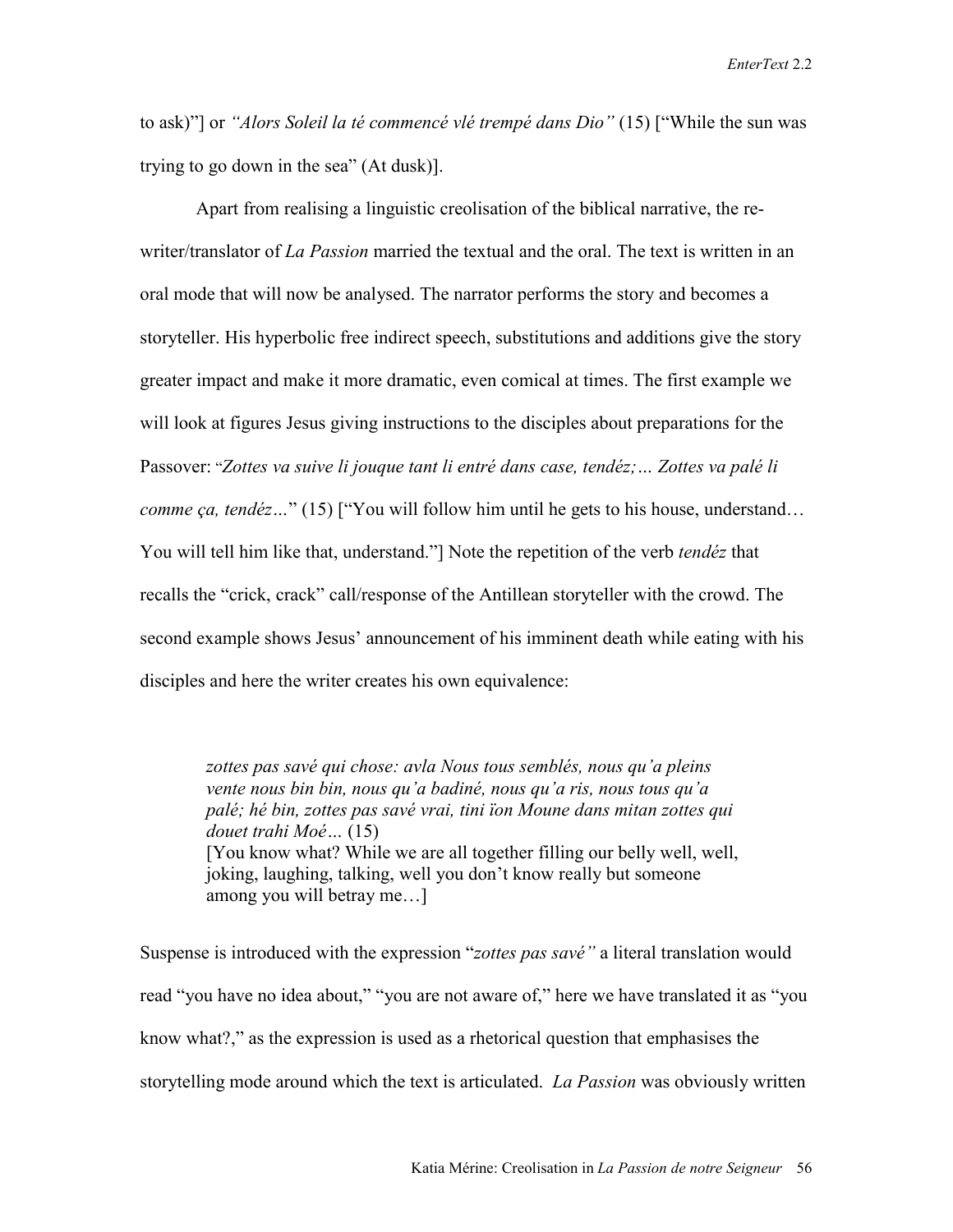to ask)"] or *"Alors Soleil la té commencé vlé trempé dans Dio"* (15) ["While the sun was trying to go down in the sea" (At dusk)].

Apart from realising a linguistic creolisation of the biblical narrative, the rewriter/translator of *La Passion* married the textual and the oral. The text is written in an oral mode that will now be analysed. The narrator performs the story and becomes a storyteller. His hyperbolic free indirect speech, substitutions and additions give the story greater impact and make it more dramatic, even comical at times. The first example we will look at figures Jesus giving instructions to the disciples about preparations for the Passover: "*Zottes va suive li jouque tant li entré dans case, tendéz;… Zottes va palé li comme ça, tendéz...*" (15) ["You will follow him until he gets to his house, understand... You will tell him like that, understand."] Note the repetition of the verb *tendéz* that recalls the "crick, crack" call/response of the Antillean storyteller with the crowd. The second example shows Jesus' announcement of his imminent death while eating with his disciples and here the writer creates his own equivalence:

*zottes pas savé qui chose: avla Nous tous semblés, nous qu'a pleins vente nous bin bin, nous qu'a badiné, nous qu'a ris, nous tous qu'a palé; hé bin, zottes pas savé vrai, tini ïon Moune dans mitan zottes qui douet trahi Moé…* (15) [You know what? While we are all together filling our belly well, well, joking, laughing, talking, well you don't know really but someone among you will betray me…]

Suspense is introduced with the expression "*zottes pas savé"* a literal translation would read "you have no idea about," "you are not aware of," here we have translated it as "you know what?," as the expression is used as a rhetorical question that emphasises the storytelling mode around which the text is articulated. *La Passion* was obviously written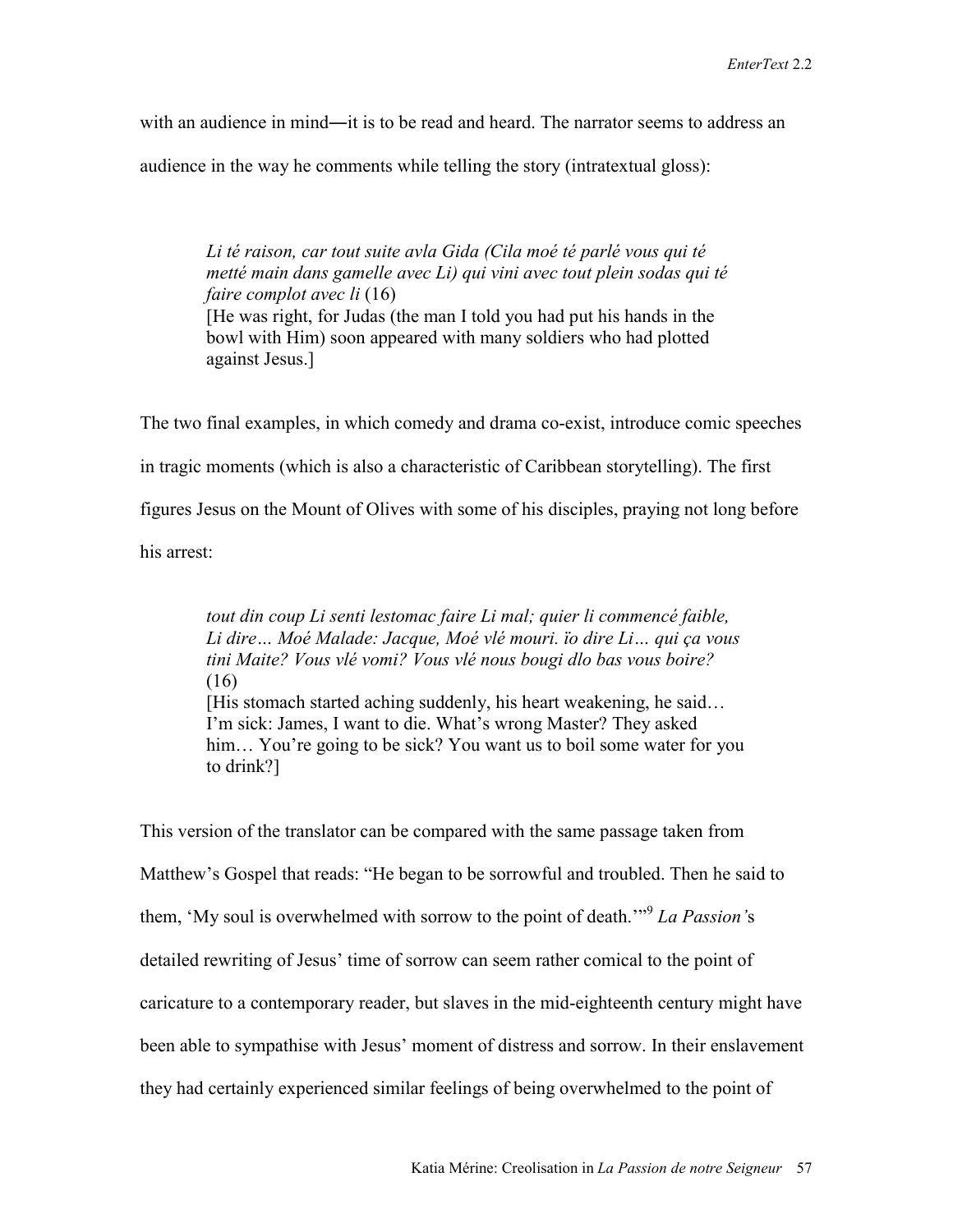with an audience in mind—it is to be read and heard. The narrator seems to address an

audience in the way he comments while telling the story (intratextual gloss):

*Li té raison, car tout suite avla Gida (Cila moé té parlé vous qui té metté main dans gamelle avec Li) qui vini avec tout plein sodas qui té faire complot avec li* (16) [He was right, for Judas (the man I told you had put his hands in the bowl with Him) soon appeared with many soldiers who had plotted against Jesus.]

The two final examples, in which comedy and drama co-exist, introduce comic speeches in tragic moments (which is also a characteristic of Caribbean storytelling). The first figures Jesus on the Mount of Olives with some of his disciples, praying not long before his arrest:

*tout din coup Li senti lestomac faire Li mal; quier li commencé faible, Li dire… Moé Malade: Jacque, Moé vlé mouri. ïo dire Li… qui ça vous tini Maite? Vous vlé vomi? Vous vlé nous bougi dlo bas vous boire?* (16) [His stomach started aching suddenly, his heart weakening, he said… I'm sick: James, I want to die. What's wrong Master? They asked him... You're going to be sick? You want us to boil some water for you to drink?]

This version of the translator can be compared with the same passage taken from Matthew's Gospel that reads: "He began to be sorrowful and troubled. Then he said to them, 'My soul is overwhelmed with sorrow to the point of death.'"<sup>9</sup> *La Passion'*s detailed rewriting of Jesus' time of sorrow can seem rather comical to the point of caricature to a contemporary reader, but slaves in the mid-eighteenth century might have been able to sympathise with Jesus' moment of distress and sorrow. In their enslavement they had certainly experienced similar feelings of being overwhelmed to the point of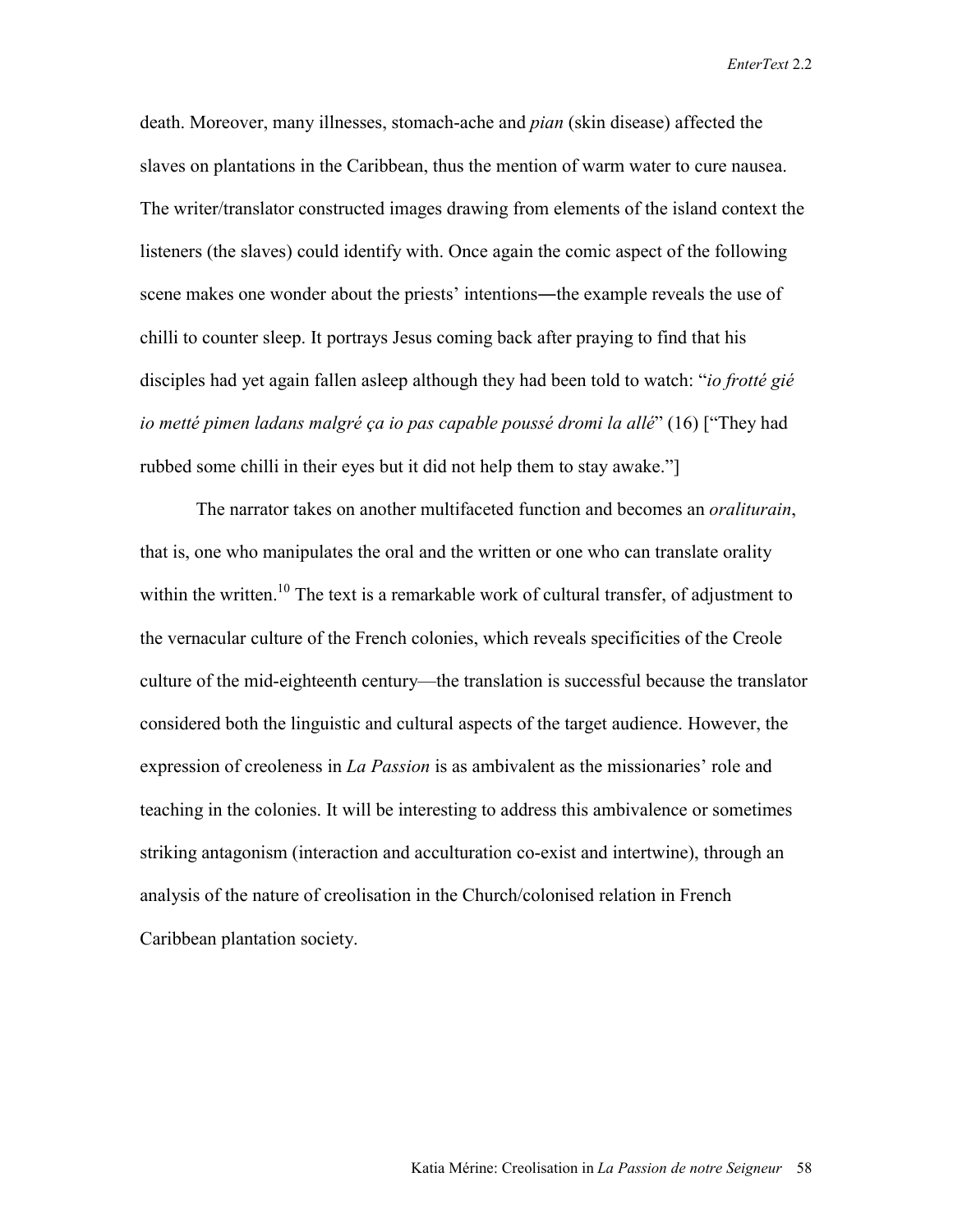death. Moreover, many illnesses, stomach-ache and *pian* (skin disease) affected the slaves on plantations in the Caribbean, thus the mention of warm water to cure nausea. The writer/translator constructed images drawing from elements of the island context the listeners (the slaves) could identify with. Once again the comic aspect of the following scene makes one wonder about the priests' intentions—the example reveals the use of chilli to counter sleep. It portrays Jesus coming back after praying to find that his disciples had yet again fallen asleep although they had been told to watch: "*io frotté gié io metté pimen ladans malgré ça io pas capable poussé dromi la allé*" (16) ["They had rubbed some chilli in their eyes but it did not help them to stay awake."]

The narrator takes on another multifaceted function and becomes an *oraliturain*, that is, one who manipulates the oral and the written or one who can translate orality within the written.<sup>10</sup> The text is a remarkable work of cultural transfer, of adjustment to the vernacular culture of the French colonies, which reveals specificities of the Creole culture of the mid-eighteenth century—the translation is successful because the translator considered both the linguistic and cultural aspects of the target audience. However, the expression of creoleness in *La Passion* is as ambivalent as the missionaries' role and teaching in the colonies. It will be interesting to address this ambivalence or sometimes striking antagonism (interaction and acculturation co-exist and intertwine), through an analysis of the nature of creolisation in the Church/colonised relation in French Caribbean plantation society.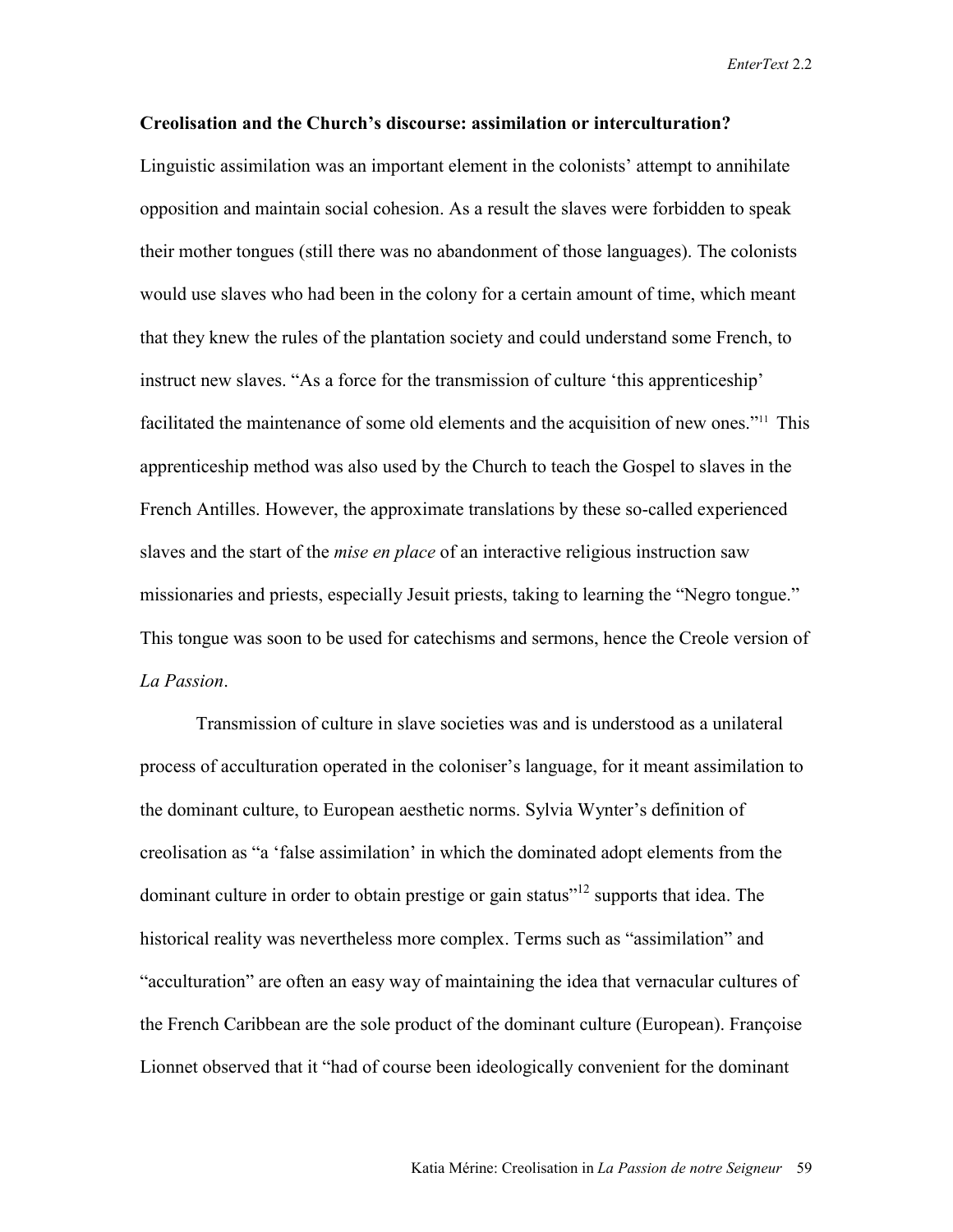### **Creolisation and the Church's discourse: assimilation or interculturation?**

Linguistic assimilation was an important element in the colonists' attempt to annihilate opposition and maintain social cohesion. As a result the slaves were forbidden to speak their mother tongues (still there was no abandonment of those languages). The colonists would use slaves who had been in the colony for a certain amount of time, which meant that they knew the rules of the plantation society and could understand some French, to instruct new slaves. "As a force for the transmission of culture 'this apprenticeship' facilitated the maintenance of some old elements and the acquisition of new ones."11 This apprenticeship method was also used by the Church to teach the Gospel to slaves in the French Antilles. However, the approximate translations by these so-called experienced slaves and the start of the *mise en place* of an interactive religious instruction saw missionaries and priests, especially Jesuit priests, taking to learning the "Negro tongue." This tongue was soon to be used for catechisms and sermons, hence the Creole version of *La Passion*.

Transmission of culture in slave societies was and is understood as a unilateral process of acculturation operated in the coloniser's language, for it meant assimilation to the dominant culture, to European aesthetic norms. Sylvia Wynter's definition of creolisation as "a 'false assimilation' in which the dominated adopt elements from the dominant culture in order to obtain prestige or gain status"<sup>12</sup> supports that idea. The historical reality was nevertheless more complex. Terms such as "assimilation" and "acculturation" are often an easy way of maintaining the idea that vernacular cultures of the French Caribbean are the sole product of the dominant culture (European). Françoise Lionnet observed that it "had of course been ideologically convenient for the dominant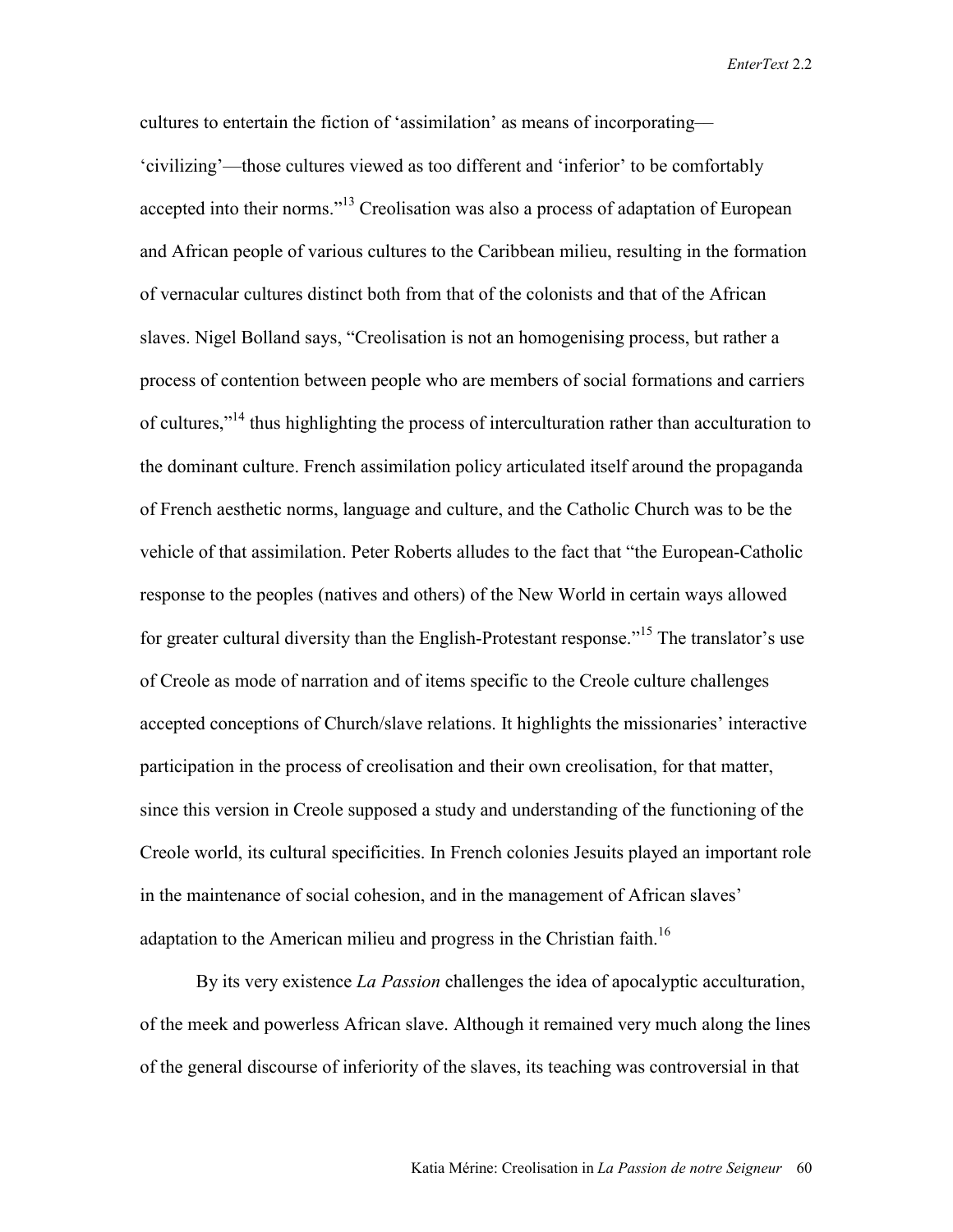cultures to entertain the fiction of 'assimilation' as means of incorporating–– 'civilizing'—those cultures viewed as too different and 'inferior' to be comfortably accepted into their norms."<sup>13</sup> Creolisation was also a process of adaptation of European and African people of various cultures to the Caribbean milieu, resulting in the formation of vernacular cultures distinct both from that of the colonists and that of the African slaves. Nigel Bolland says, "Creolisation is not an homogenising process, but rather a process of contention between people who are members of social formations and carriers of cultures,"<sup>14</sup> thus highlighting the process of interculturation rather than acculturation to the dominant culture. French assimilation policy articulated itself around the propaganda of French aesthetic norms, language and culture, and the Catholic Church was to be the vehicle of that assimilation. Peter Roberts alludes to the fact that "the European-Catholic response to the peoples (natives and others) of the New World in certain ways allowed for greater cultural diversity than the English-Protestant response."<sup>15</sup> The translator's use of Creole as mode of narration and of items specific to the Creole culture challenges accepted conceptions of Church/slave relations. It highlights the missionaries' interactive participation in the process of creolisation and their own creolisation, for that matter, since this version in Creole supposed a study and understanding of the functioning of the Creole world, its cultural specificities. In French colonies Jesuits played an important role in the maintenance of social cohesion, and in the management of African slaves' adaptation to the American milieu and progress in the Christian faith.<sup>16</sup>

By its very existence *La Passion* challenges the idea of apocalyptic acculturation, of the meek and powerless African slave. Although it remained very much along the lines of the general discourse of inferiority of the slaves, its teaching was controversial in that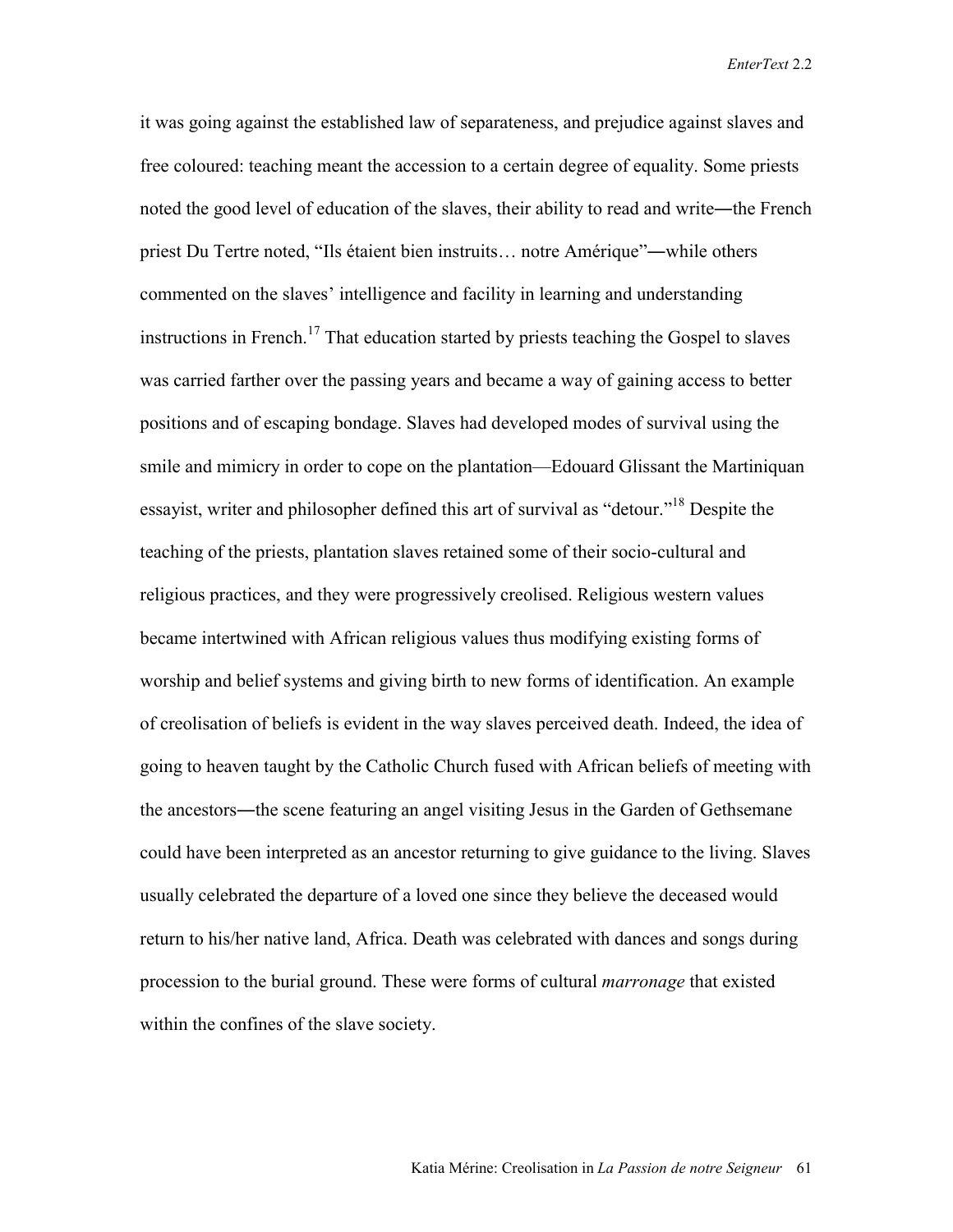it was going against the established law of separateness, and prejudice against slaves and free coloured: teaching meant the accession to a certain degree of equality. Some priests noted the good level of education of the slaves, their ability to read and write—the French priest Du Tertre noted, "Ils étaient bien instruits… notre Amérique"―while others commented on the slaves' intelligence and facility in learning and understanding instructions in French.<sup>17</sup> That education started by priests teaching the Gospel to slaves was carried farther over the passing years and became a way of gaining access to better positions and of escaping bondage. Slaves had developed modes of survival using the smile and mimicry in order to cope on the plantation—Edouard Glissant the Martiniquan essayist, writer and philosopher defined this art of survival as "detour."<sup>18</sup> Despite the teaching of the priests, plantation slaves retained some of their socio-cultural and religious practices, and they were progressively creolised. Religious western values became intertwined with African religious values thus modifying existing forms of worship and belief systems and giving birth to new forms of identification. An example of creolisation of beliefs is evident in the way slaves perceived death. Indeed, the idea of going to heaven taught by the Catholic Church fused with African beliefs of meeting with the ancestors―the scene featuring an angel visiting Jesus in the Garden of Gethsemane could have been interpreted as an ancestor returning to give guidance to the living. Slaves usually celebrated the departure of a loved one since they believe the deceased would return to his/her native land, Africa. Death was celebrated with dances and songs during procession to the burial ground. These were forms of cultural *marronage* that existed within the confines of the slave society.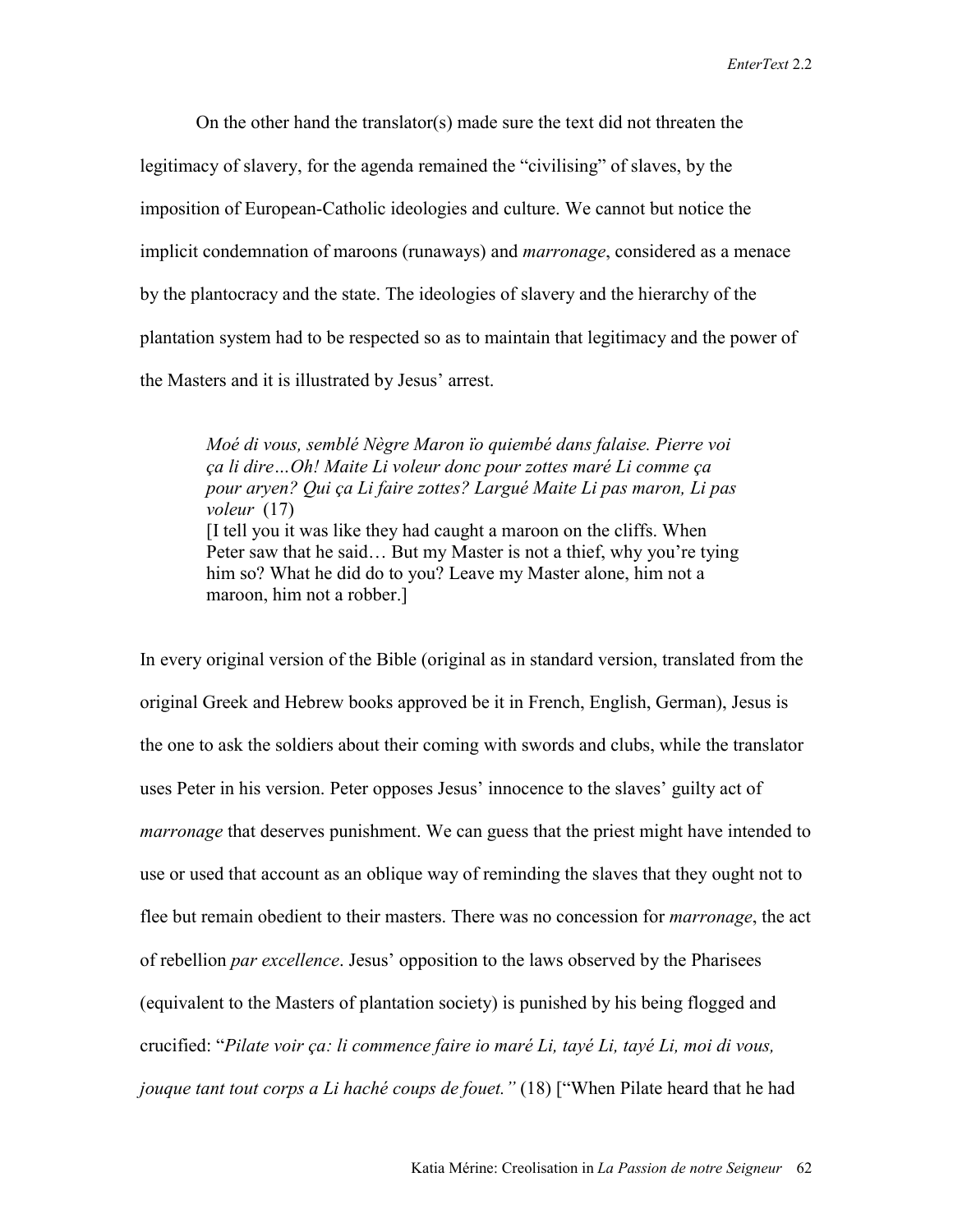On the other hand the translator(s) made sure the text did not threaten the legitimacy of slavery, for the agenda remained the "civilising" of slaves, by the imposition of European-Catholic ideologies and culture. We cannot but notice the implicit condemnation of maroons (runaways) and *marronage*, considered as a menace by the plantocracy and the state. The ideologies of slavery and the hierarchy of the plantation system had to be respected so as to maintain that legitimacy and the power of the Masters and it is illustrated by Jesus' arrest.

*Moé di vous, semblé Nègre Maron ïo quiembé dans falaise. Pierre voi ça li dire…Oh! Maite Li voleur donc pour zottes maré Li comme ça pour aryen? Qui ça Li faire zottes? Largué Maite Li pas maron, Li pas voleur* (17) [I tell you it was like they had caught a maroon on the cliffs. When Peter saw that he said… But my Master is not a thief, why you're tying him so? What he did do to you? Leave my Master alone, him not a maroon, him not a robber.]

In every original version of the Bible (original as in standard version, translated from the original Greek and Hebrew books approved be it in French, English, German), Jesus is the one to ask the soldiers about their coming with swords and clubs, while the translator uses Peter in his version. Peter opposes Jesus' innocence to the slaves' guilty act of *marronage* that deserves punishment. We can guess that the priest might have intended to use or used that account as an oblique way of reminding the slaves that they ought not to flee but remain obedient to their masters. There was no concession for *marronage*, the act of rebellion *par excellence*. Jesus' opposition to the laws observed by the Pharisees (equivalent to the Masters of plantation society) is punished by his being flogged and crucified: "*Pilate voir ça: li commence faire io maré Li, tayé Li, tayé Li, moi di vous, jouque tant tout corps a Li haché coups de fouet."* (18) ["When Pilate heard that he had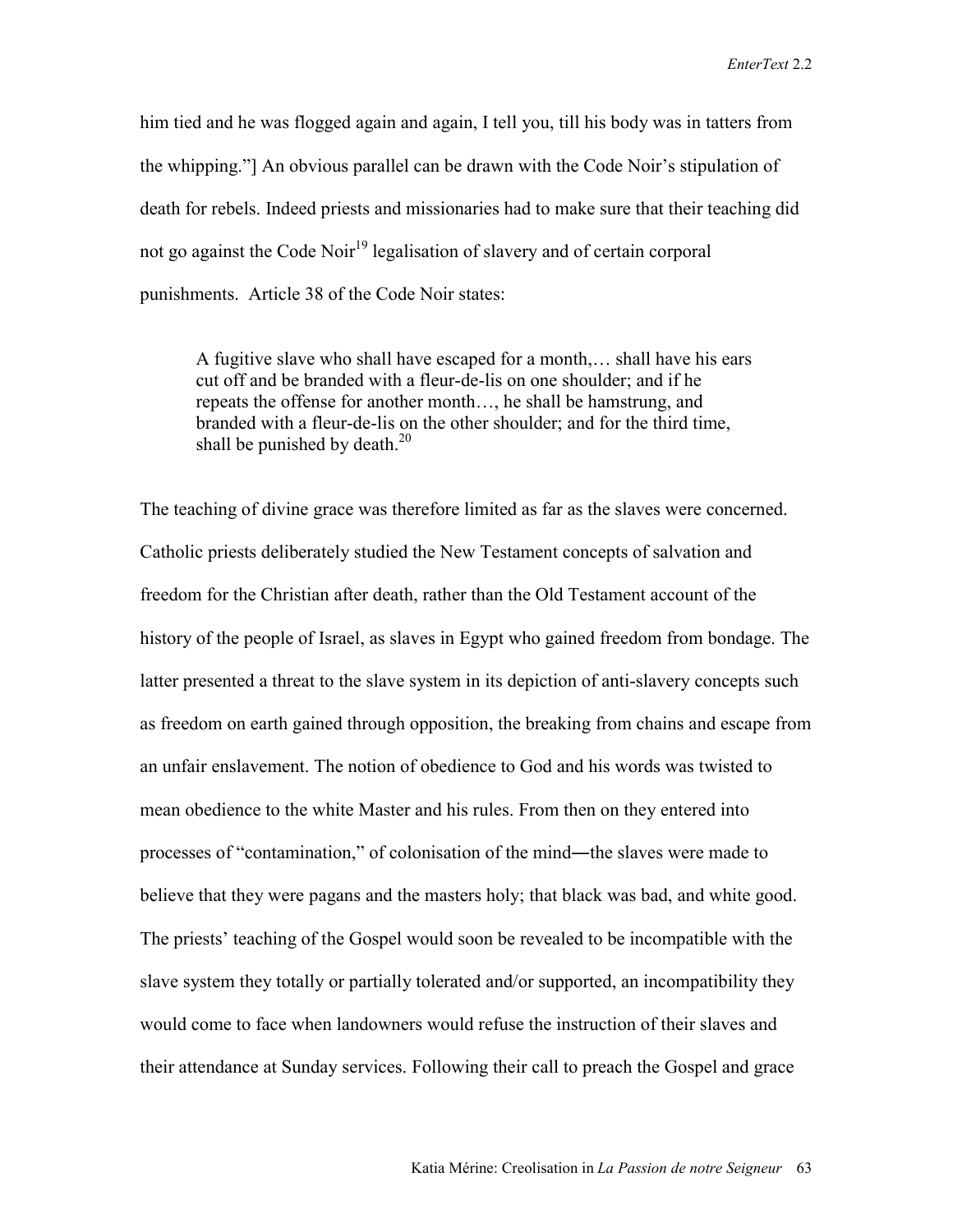him tied and he was flogged again and again, I tell you, till his body was in tatters from the whipping."] An obvious parallel can be drawn with the Code Noir's stipulation of death for rebels. Indeed priests and missionaries had to make sure that their teaching did not go against the Code Noir<sup>19</sup> legalisation of slavery and of certain corporal punishments. Article 38 of the Code Noir states:

A fugitive slave who shall have escaped for a month,… shall have his ears cut off and be branded with a fleur-de-lis on one shoulder; and if he repeats the offense for another month…, he shall be hamstrung, and branded with a fleur-de-lis on the other shoulder; and for the third time, shall be punished by death. $^{20}$ 

The teaching of divine grace was therefore limited as far as the slaves were concerned. Catholic priests deliberately studied the New Testament concepts of salvation and freedom for the Christian after death, rather than the Old Testament account of the history of the people of Israel, as slaves in Egypt who gained freedom from bondage. The latter presented a threat to the slave system in its depiction of anti-slavery concepts such as freedom on earth gained through opposition, the breaking from chains and escape from an unfair enslavement. The notion of obedience to God and his words was twisted to mean obedience to the white Master and his rules. From then on they entered into processes of "contamination," of colonisation of the mind—the slaves were made to believe that they were pagans and the masters holy; that black was bad, and white good. The priests' teaching of the Gospel would soon be revealed to be incompatible with the slave system they totally or partially tolerated and/or supported, an incompatibility they would come to face when landowners would refuse the instruction of their slaves and their attendance at Sunday services. Following their call to preach the Gospel and grace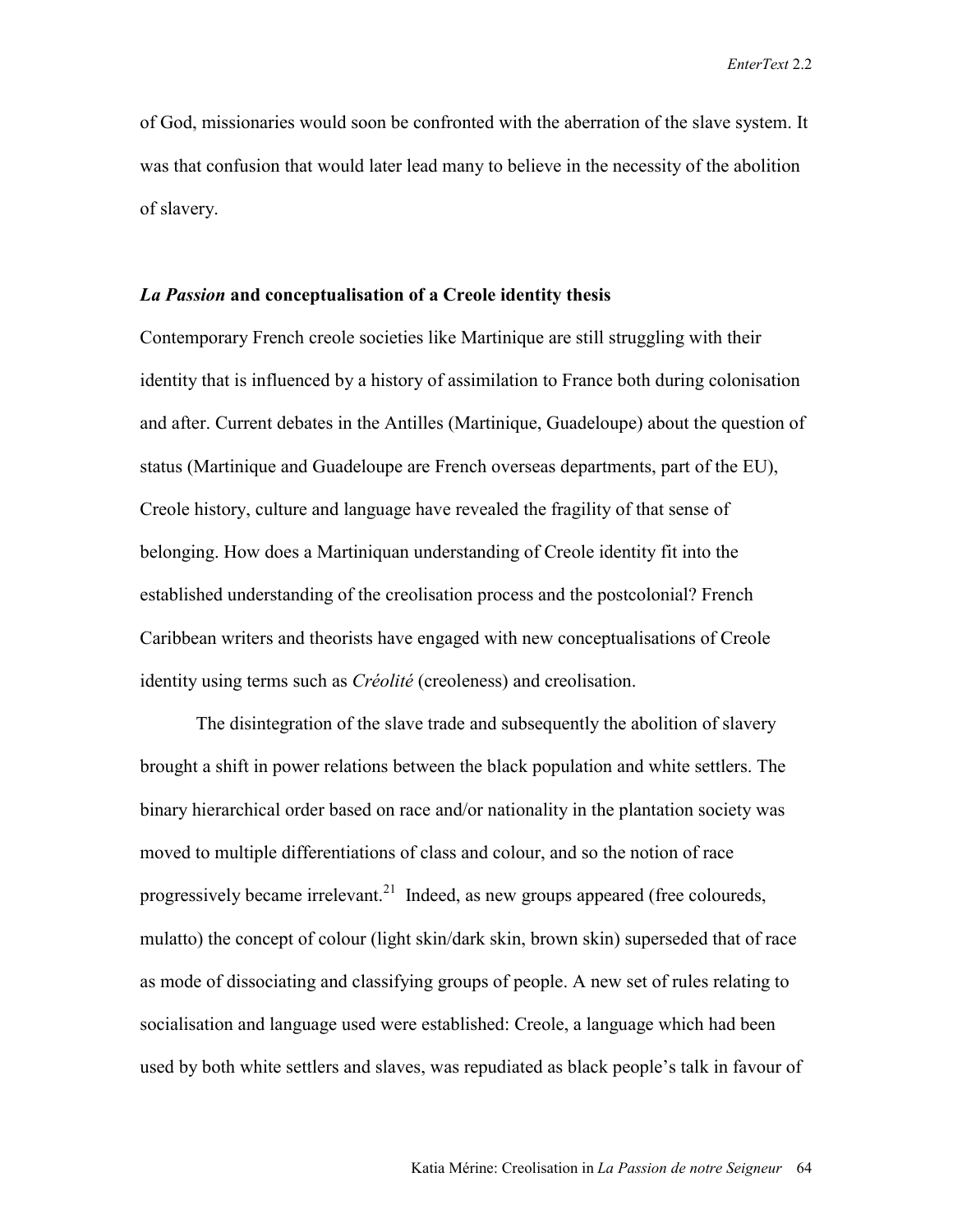of God, missionaries would soon be confronted with the aberration of the slave system. It was that confusion that would later lead many to believe in the necessity of the abolition of slavery.

#### *La Passion* **and conceptualisation of a Creole identity thesis**

Contemporary French creole societies like Martinique are still struggling with their identity that is influenced by a history of assimilation to France both during colonisation and after. Current debates in the Antilles (Martinique, Guadeloupe) about the question of status (Martinique and Guadeloupe are French overseas departments, part of the EU), Creole history, culture and language have revealed the fragility of that sense of belonging. How does a Martiniquan understanding of Creole identity fit into the established understanding of the creolisation process and the postcolonial? French Caribbean writers and theorists have engaged with new conceptualisations of Creole identity using terms such as *Créolité* (creoleness) and creolisation.

The disintegration of the slave trade and subsequently the abolition of slavery brought a shift in power relations between the black population and white settlers. The binary hierarchical order based on race and/or nationality in the plantation society was moved to multiple differentiations of class and colour, and so the notion of race progressively became irrelevant.<sup>21</sup> Indeed, as new groups appeared (free coloureds, mulatto) the concept of colour (light skin/dark skin, brown skin) superseded that of race as mode of dissociating and classifying groups of people. A new set of rules relating to socialisation and language used were established: Creole, a language which had been used by both white settlers and slaves, was repudiated as black people's talk in favour of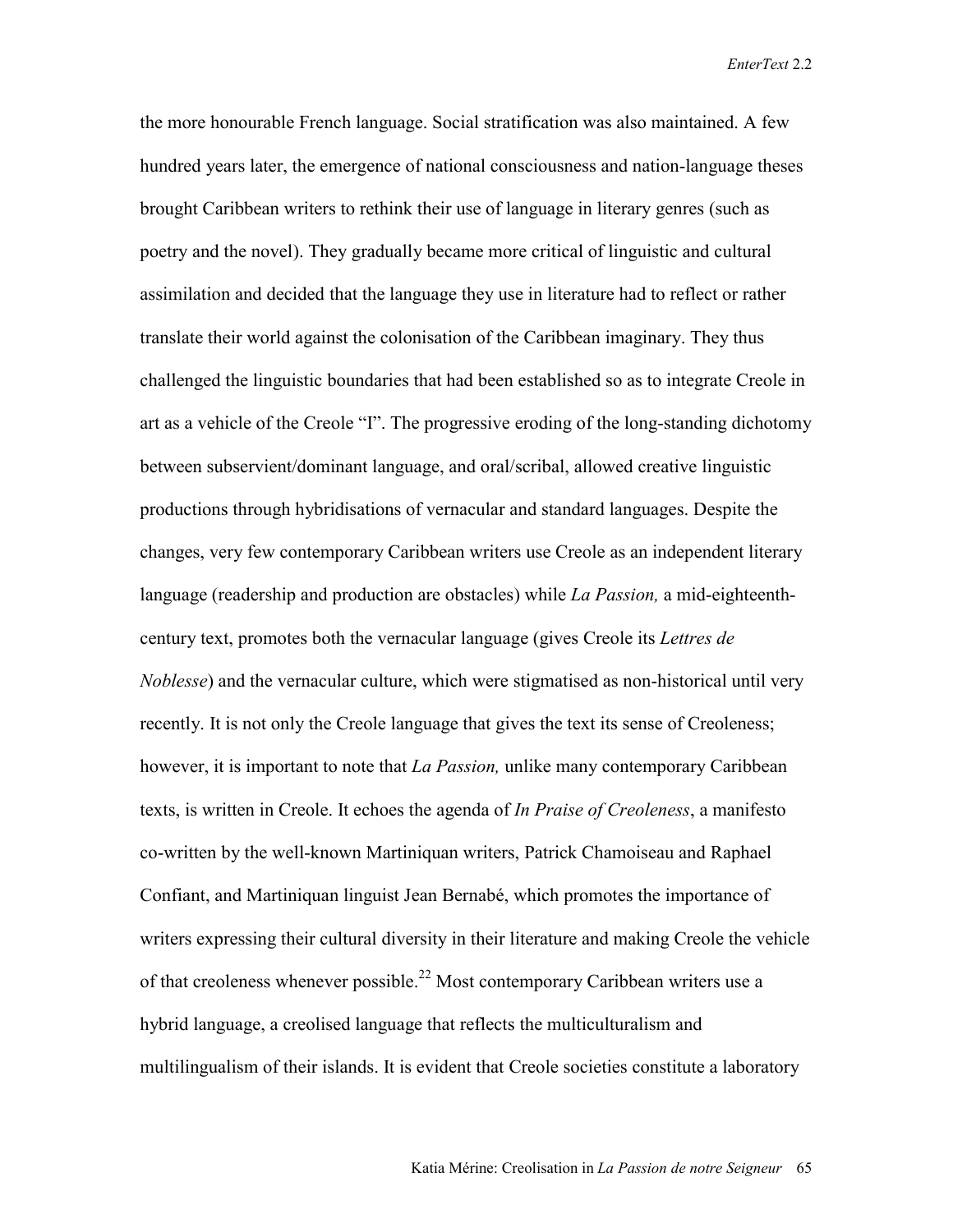the more honourable French language. Social stratification was also maintained. A few hundred years later, the emergence of national consciousness and nation-language theses brought Caribbean writers to rethink their use of language in literary genres (such as poetry and the novel). They gradually became more critical of linguistic and cultural assimilation and decided that the language they use in literature had to reflect or rather translate their world against the colonisation of the Caribbean imaginary. They thus challenged the linguistic boundaries that had been established so as to integrate Creole in art as a vehicle of the Creole "I". The progressive eroding of the long-standing dichotomy between subservient/dominant language, and oral/scribal, allowed creative linguistic productions through hybridisations of vernacular and standard languages. Despite the changes, very few contemporary Caribbean writers use Creole as an independent literary language (readership and production are obstacles) while *La Passion,* a mid-eighteenthcentury text, promotes both the vernacular language (gives Creole its *Lettres de Noblesse*) and the vernacular culture, which were stigmatised as non-historical until very recently. It is not only the Creole language that gives the text its sense of Creoleness; however, it is important to note that *La Passion,* unlike many contemporary Caribbean texts, is written in Creole. It echoes the agenda of *In Praise of Creoleness*, a manifesto co-written by the well-known Martiniquan writers, Patrick Chamoiseau and Raphael Confiant, and Martiniquan linguist Jean Bernabé, which promotes the importance of writers expressing their cultural diversity in their literature and making Creole the vehicle of that creoleness whenever possible.<sup>22</sup> Most contemporary Caribbean writers use a hybrid language, a creolised language that reflects the multiculturalism and multilingualism of their islands. It is evident that Creole societies constitute a laboratory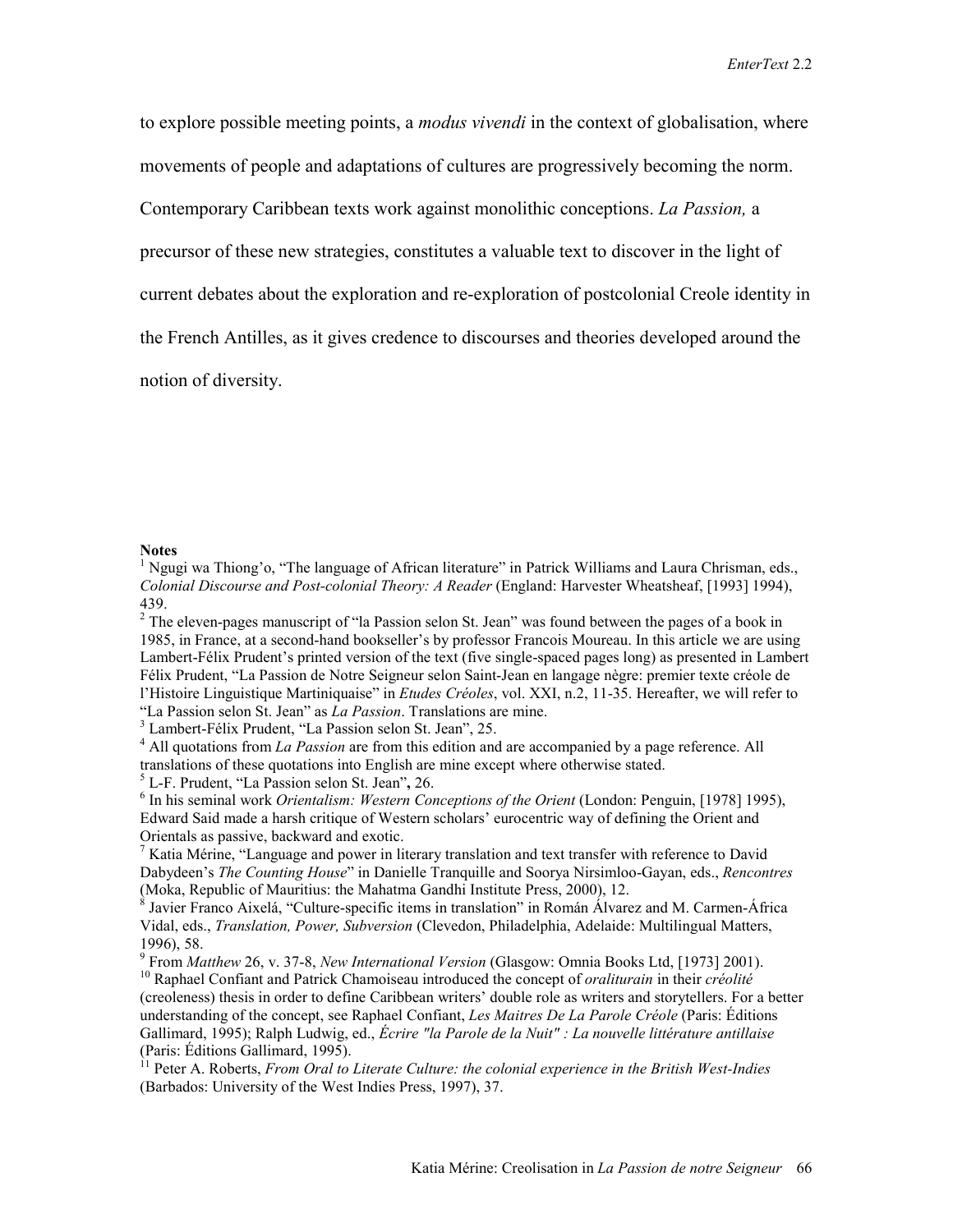to explore possible meeting points, a *modus vivendi* in the context of globalisation, where

movements of people and adaptations of cultures are progressively becoming the norm.

Contemporary Caribbean texts work against monolithic conceptions. *La Passion,* a

precursor of these new strategies, constitutes a valuable text to discover in the light of

current debates about the exploration and re-exploration of postcolonial Creole identity in

the French Antilles, as it gives credence to discourses and theories developed around the

notion of diversity.

#### **Notes**

<sup>1</sup> Ngugi wa Thiong'o, "The language of African literature" in Patrick Williams and Laura Chrisman, eds., *Colonial Discourse and Post-colonial Theory: A Reader* (England: Harvester Wheatsheaf, [1993] 1994), 439.

<sup>2</sup> The eleven-pages manuscript of "la Passion selon St. Jean" was found between the pages of a book in 1985, in France, at a second-hand bookseller's by professor Francois Moureau. In this article we are using Lambert-Félix Prudent's printed version of the text (five single-spaced pages long) as presented in Lambert Félix Prudent, "La Passion de Notre Seigneur selon Saint-Jean en langage nègre: premier texte créole de l'Histoire Linguistique Martiniquaise" in *Etudes Créoles*, vol. XXI, n.2, 11-35. Hereafter, we will refer to "La Passion selon St. Jean" as *La Passion*. Translations are mine. 3

Lambert-Félix Prudent, "La Passion selon St. Jean", 25.

<sup>4</sup> All quotations from *La Passion* are from this edition and are accompanied by a page reference. All translations of these quotations into English are mine except where otherwise stated.

<sup>5</sup> L-F. Prudent, "La Passion selon St. Jean", 26.

<sup>6</sup> In his seminal work *Orientalism: Western Conceptions of the Orient* (London: Penguin, [1978] 1995), Edward Said made a harsh critique of Western scholars' eurocentric way of defining the Orient and Orientals as passive, backward and exotic.

 $<sup>7</sup>$  Katia Mérine, "Language and power in literary translation and text transfer with reference to David</sup> Dabydeen's *The Counting House*" in Danielle Tranquille and Soorya Nirsimloo-Gayan, eds., *Rencontres* (Moka, Republic of Mauritius: the Mahatma Gandhi Institute Press, 2000), 12.

8 Javier Franco Aixelá, "Culture-specific items in translation" in Román Álvarez and M. Carmen-África Vidal, eds., *Translation, Power, Subversion* (Clevedon, Philadelphia, Adelaide: Multilingual Matters, 1996), 58.

<sup>9</sup> From Matthew 26, v. 37-8, New International Version (Glasgow: Omnia Books Ltd, [1973] 2001).

<sup>10</sup> Raphael Confiant and Patrick Chamoiseau introduced the concept of *oraliturain* in their *créolité* (creoleness) thesis in order to define Caribbean writers' double role as writers and storytellers. For a better understanding of the concept, see Raphael Confiant, *Les Maitres De La Parole Créole* (Paris: Éditions Gallimard, 1995); Ralph Ludwig, ed., *Écrire "la Parole de la Nuit" : La nouvelle littérature antillaise* (Paris: Éditions Gallimard, 1995).

<sup>11</sup> Peter A. Roberts, *From Oral to Literate Culture: the colonial experience in the British West-Indies* (Barbados: University of the West Indies Press, 1997), 37.